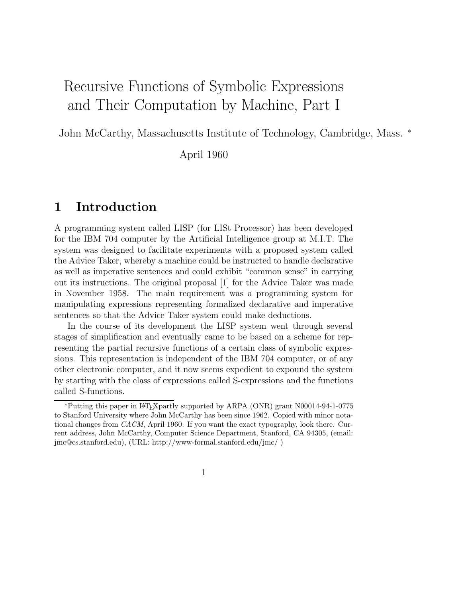# Recursive Functions of Symbolic Expressions and Their Computation by Machine, Part I

John McCarthy, Massachusetts Institute of Technology, Cambridge, Mass. <sup>∗</sup>

April 1960

#### 1 Introduction

A programming system called LISP (for LISt Processor) has been developed for the IBM 704 computer by the Artificial Intelligence group at M.I.T. The system was designed to facilitate experiments with a proposed system called the Advice Taker, whereby a machine could be instructed to handle declarative as well as imperative sentences and could exhibit "common sense" in carrying out its instructions. The original proposal [1] for the Advice Taker was made in November 1958. The main requirement was a programming system for manipulating expressions representing formalized declarative and imperative sentences so that the Advice Taker system could make deductions.

In the course of its development the LISP system went through several stages of simplification and eventually came to be based on a scheme for representing the partial recursive functions of a certain class of symbolic expressions. This representation is independent of the IBM 704 computer, or of any other electronic computer, and it now seems expedient to expound the system by starting with the class of expressions called S-expressions and the functions called S-functions.

<sup>∗</sup>Putting this paper in L<sup>A</sup>TEXpartly supported by ARPA (ONR) grant N00014-94-1-0775 to Stanford University where John McCarthy has been since 1962. Copied with minor notational changes from CACM, April 1960. If you want the exact typography, look there. Current address, John McCarthy, Computer Science Department, Stanford, CA 94305, (email: jmc@cs.stanford.edu), (URL: http://www-formal.stanford.edu/jmc/ )

<sup>1</sup>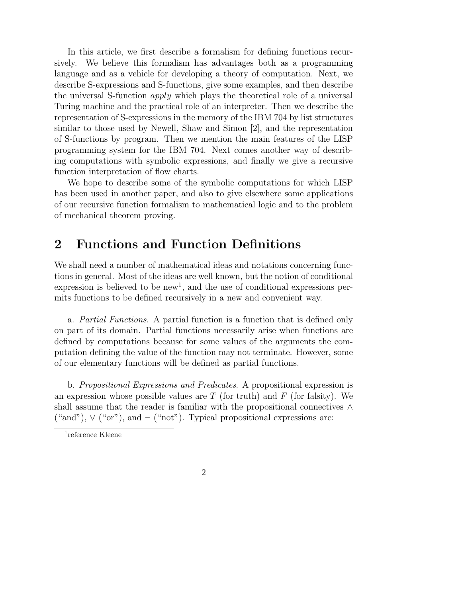In this article, we first describe a formalism for defining functions recursively. We believe this formalism has advantages both as a programming language and as a vehicle for developing a theory of computation. Next, we describe S-expressions and S-functions, give some examples, and then describe the universal S-function apply which plays the theoretical role of a universal Turing machine and the practical role of an interpreter. Then we describe the representation of S-expressions in the memory of the IBM 704 by list structures similar to those used by Newell, Shaw and Simon [2], and the representation of S-functions by program. Then we mention the main features of the LISP programming system for the IBM 704. Next comes another way of describing computations with symbolic expressions, and finally we give a recursive function interpretation of flow charts.

We hope to describe some of the symbolic computations for which LISP has been used in another paper, and also to give elsewhere some applications of our recursive function formalism to mathematical logic and to the problem of mechanical theorem proving.

### 2 Functions and Function Definitions

We shall need a number of mathematical ideas and notations concerning functions in general. Most of the ideas are well known, but the notion of conditional  $\alpha$  expression is believed to be new<sup>1</sup>, and the use of conditional expressions permits functions to be defined recursively in a new and convenient way.

a. Partial Functions. A partial function is a function that is defined only on part of its domain. Partial functions necessarily arise when functions are defined by computations because for some values of the arguments the computation defining the value of the function may not terminate. However, some of our elementary functions will be defined as partial functions.

b. Propositional Expressions and Predicates. A propositional expression is an expression whose possible values are T (for truth) and  $F$  (for falsity). We shall assume that the reader is familiar with the propositional connectives ∧ ("and"),  $\vee$  ("or"), and  $\neg$  ("not"). Typical propositional expressions are:

<sup>1</sup> reference Kleene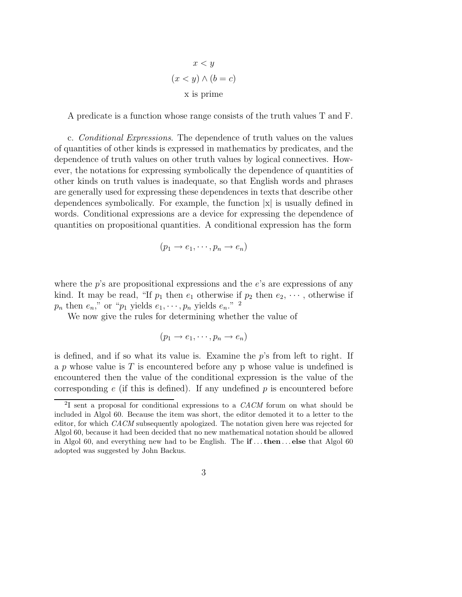$$
x < y
$$
\n
$$
(x < y) \land (b = c)
$$
\nx is prime

A predicate is a function whose range consists of the truth values T and F.

c. Conditional Expressions. The dependence of truth values on the values of quantities of other kinds is expressed in mathematics by predicates, and the dependence of truth values on other truth values by logical connectives. However, the notations for expressing symbolically the dependence of quantities of other kinds on truth values is inadequate, so that English words and phrases are generally used for expressing these dependences in texts that describe other dependences symbolically. For example, the function  $|x|$  is usually defined in words. Conditional expressions are a device for expressing the dependence of quantities on propositional quantities. A conditional expression has the form

$$
(p_1 \to e_1, \cdots, p_n \to e_n)
$$

where the  $p$ 's are propositional expressions and the  $e$ 's are expressions of any kind. It may be read, "If  $p_1$  then  $e_1$  otherwise if  $p_2$  then  $e_2, \dots,$  otherwise if  $p_n$  then  $e_n$ ," or " $p_1$  yields  $e_1, \dots, p_n$  yields  $e_n$ ."

We now give the rules for determining whether the value of

$$
(p_1 \to e_1, \cdots, p_n \to e_n)
$$

is defined, and if so what its value is. Examine the  $p$ 's from left to right. If a p whose value is  $T$  is encountered before any p whose value is undefined is encountered then the value of the conditional expression is the value of the corresponding  $e$  (if this is defined). If any undefined p is encountered before

<sup>&</sup>lt;sup>2</sup>I sent a proposal for conditional expressions to a  $CACM$  forum on what should be included in Algol 60. Because the item was short, the editor demoted it to a letter to the editor, for which CACM subsequently apologized. The notation given here was rejected for Algol 60, because it had been decided that no new mathematical notation should be allowed in Algol 60, and everything new had to be English. The  $\mathbf{if} \dots \mathbf{then} \dots \mathbf{else}$  that Algol 60 adopted was suggested by John Backus.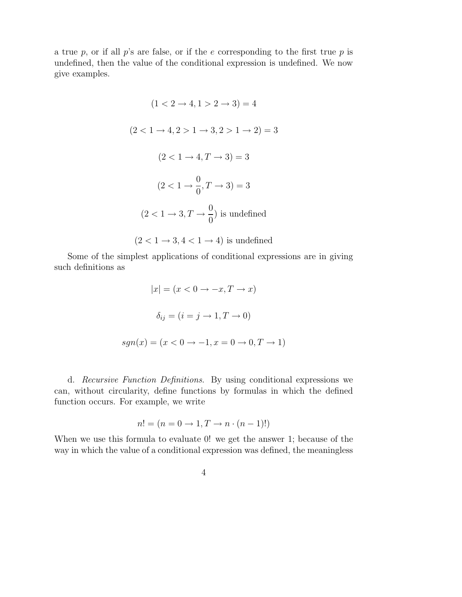a true  $p$ , or if all  $p$ 's are false, or if the  $e$  corresponding to the first true  $p$  is undefined, then the value of the conditional expression is undefined. We now give examples.

$$
(1 < 2 \rightarrow 4, 1 > 2 \rightarrow 3) = 4
$$
  
\n
$$
(2 < 1 \rightarrow 4, 2 > 1 \rightarrow 3, 2 > 1 \rightarrow 2) = 3
$$
  
\n
$$
(2 < 1 \rightarrow 4, T \rightarrow 3) = 3
$$
  
\n
$$
(2 < 1 \rightarrow \frac{0}{0}, T \rightarrow 3) = 3
$$
  
\n
$$
(2 < 1 \rightarrow 3, T \rightarrow \frac{0}{0}) \text{ is undefined}
$$

 $(2 < 1 \rightarrow 3, 4 < 1 \rightarrow 4)$  is undefined

Some of the simplest applications of conditional expressions are in giving such definitions as

$$
|x| = (x < 0 \to -x, T \to x)
$$
\n
$$
\delta_{ij} = (i = j \to 1, T \to 0)
$$
\n
$$
sgn(x) = (x < 0 \to -1, x = 0 \to 0, T \to 1)
$$

d. Recursive Function Definitions. By using conditional expressions we can, without circularity, define functions by formulas in which the defined function occurs. For example, we write

$$
n! = (n = 0 \rightarrow 1, T \rightarrow n \cdot (n - 1)!)
$$

When we use this formula to evaluate 0! we get the answer 1; because of the way in which the value of a conditional expression was defined, the meaningless

$$
4\phantom{.00}
$$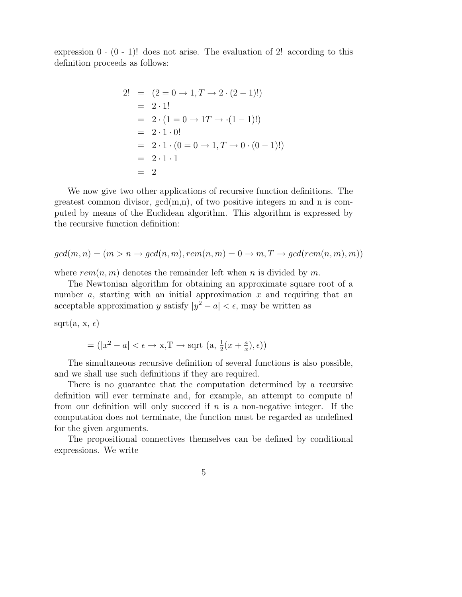expression  $0 \cdot (0 - 1)!$  does not arise. The evaluation of 2! according to this definition proceeds as follows:

2! = 
$$
(2 = 0 \rightarrow 1, T \rightarrow 2 \cdot (2 - 1)!)
$$
  
\n= 2 \cdot 1!  
\n= 2 \cdot (1 = 0 \rightarrow 1T \rightarrow \cdot (1 - 1)!)  
\n= 2 \cdot 1 \cdot 0!  
\n= 2 \cdot 1 \cdot (0 = 0 \rightarrow 1, T \rightarrow 0 \cdot (0 - 1)!)  
\n= 2 \cdot 1 \cdot 1  
\n= 2

We now give two other applications of recursive function definitions. The greatest common divisor,  $gcd(m,n)$ , of two positive integers m and n is computed by means of the Euclidean algorithm. This algorithm is expressed by the recursive function definition:

$$
gcd(m, n) = (m > n \rightarrow gcd(n, m), rem(n, m) = 0 \rightarrow m, T \rightarrow gcd(rem(n, m), m))
$$

where  $rem(n, m)$  denotes the remainder left when n is divided by m.

The Newtonian algorithm for obtaining an approximate square root of a number  $a$ , starting with an initial approximation  $x$  and requiring that an acceptable approximation y satisfy  $|y^2 - a| < \epsilon$ , may be written as

 $sqrt(a, x, \epsilon)$ 

= 
$$
(|x^2 - a| < \epsilon \rightarrow x, T \rightarrow \text{sqrt } (a, \frac{1}{2}(x + \frac{a}{x}), \epsilon))
$$

The simultaneous recursive definition of several functions is also possible, and we shall use such definitions if they are required.

There is no guarantee that the computation determined by a recursive definition will ever terminate and, for example, an attempt to compute n! from our definition will only succeed if  $n$  is a non-negative integer. If the computation does not terminate, the function must be regarded as undefined for the given arguments.

The propositional connectives themselves can be defined by conditional expressions. We write

$$
\overline{5}
$$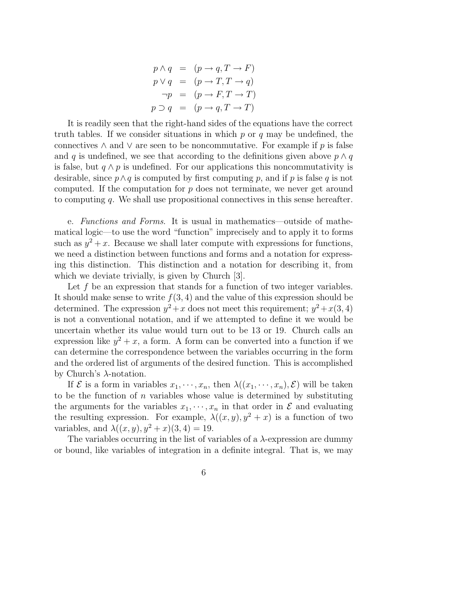$$
p \land q = (p \rightarrow q, T \rightarrow F)
$$
  
\n
$$
p \lor q = (p \rightarrow T, T \rightarrow q)
$$
  
\n
$$
\neg p = (p \rightarrow F, T \rightarrow T)
$$
  
\n
$$
p \supset q = (p \rightarrow q, T \rightarrow T)
$$

It is readily seen that the right-hand sides of the equations have the correct truth tables. If we consider situations in which  $p$  or  $q$  may be undefined, the connectives  $\wedge$  and  $\vee$  are seen to be noncommutative. For example if p is false and q is undefined, we see that according to the definitions given above  $p \wedge q$ is false, but  $q \wedge p$  is undefined. For our applications this noncommutativity is desirable, since  $p \wedge q$  is computed by first computing p, and if p is false q is not computed. If the computation for  $p$  does not terminate, we never get around to computing q. We shall use propositional connectives in this sense hereafter.

e. Functions and Forms. It is usual in mathematics—outside of mathematical logic—to use the word "function" imprecisely and to apply it to forms such as  $y^2 + x$ . Because we shall later compute with expressions for functions, we need a distinction between functions and forms and a notation for expressing this distinction. This distinction and a notation for describing it, from which we deviate trivially, is given by Church [3].

Let  $f$  be an expression that stands for a function of two integer variables. It should make sense to write  $f(3, 4)$  and the value of this expression should be determined. The expression  $y^2 + x$  does not meet this requirement;  $y^2 + x(3, 4)$ is not a conventional notation, and if we attempted to define it we would be uncertain whether its value would turn out to be 13 or 19. Church calls an expression like  $y^2 + x$ , a form. A form can be converted into a function if we can determine the correspondence between the variables occurring in the form and the ordered list of arguments of the desired function. This is accomplished by Church's  $\lambda$ -notation.

If  $\mathcal E$  is a form in variables  $x_1, \dots, x_n$ , then  $\lambda((x_1, \dots, x_n), \mathcal E)$  will be taken to be the function of  $n$  variables whose value is determined by substituting the arguments for the variables  $x_1, \dots, x_n$  in that order in  $\mathcal E$  and evaluating the resulting expression. For example,  $\lambda((x, y), y^2 + x)$  is a function of two variables, and  $\lambda((x, y), y^2 + x)(3, 4) = 19$ .

The variables occurring in the list of variables of a  $\lambda$ -expression are dummy or bound, like variables of integration in a definite integral. That is, we may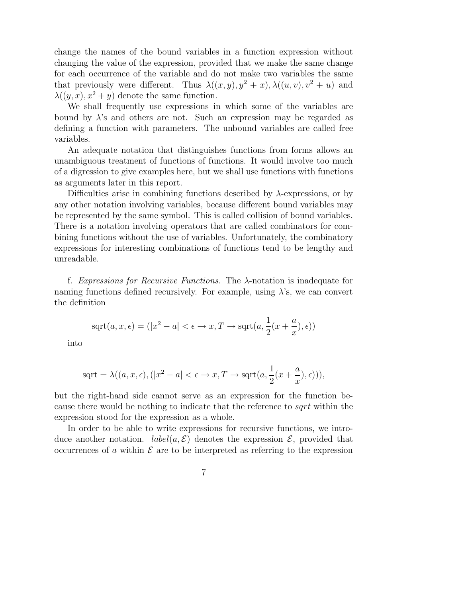change the names of the bound variables in a function expression without changing the value of the expression, provided that we make the same change for each occurrence of the variable and do not make two variables the same that previously were different. Thus  $\lambda((x, y), y^2 + x), \lambda((u, v), v^2 + u)$  and  $\lambda((y, x), x^2 + y)$  denote the same function.

We shall frequently use expressions in which some of the variables are bound by  $\lambda$ 's and others are not. Such an expression may be regarded as defining a function with parameters. The unbound variables are called free variables.

An adequate notation that distinguishes functions from forms allows an unambiguous treatment of functions of functions. It would involve too much of a digression to give examples here, but we shall use functions with functions as arguments later in this report.

Difficulties arise in combining functions described by  $\lambda$ -expressions, or by any other notation involving variables, because different bound variables may be represented by the same symbol. This is called collision of bound variables. There is a notation involving operators that are called combinators for combining functions without the use of variables. Unfortunately, the combinatory expressions for interesting combinations of functions tend to be lengthy and unreadable.

f. Expressions for Recursive Functions. The  $\lambda$ -notation is inadequate for naming functions defined recursively. For example, using  $\lambda$ 's, we can convert the definition

$$
sqrt(a, x, \epsilon) = (|x^2 - a| < \epsilon \rightarrow x, T \rightarrow \text{sqrt}(a, \frac{1}{2}(x + \frac{a}{x}), \epsilon))
$$

into

$$
sqrt = \lambda((a, x, \epsilon), (|x^2 - a| < \epsilon \to x, T \to \text{sqrt}(a, \frac{1}{2}(x + \frac{a}{x}), \epsilon))),
$$

but the right-hand side cannot serve as an expression for the function because there would be nothing to indicate that the reference to *sqrt* within the expression stood for the expression as a whole.

In order to be able to write expressions for recursive functions, we introduce another notation. *label*( $a, \mathcal{E}$ ) denotes the expression  $\mathcal{E}$ , provided that occurrences of a within  $\mathcal E$  are to be interpreted as referring to the expression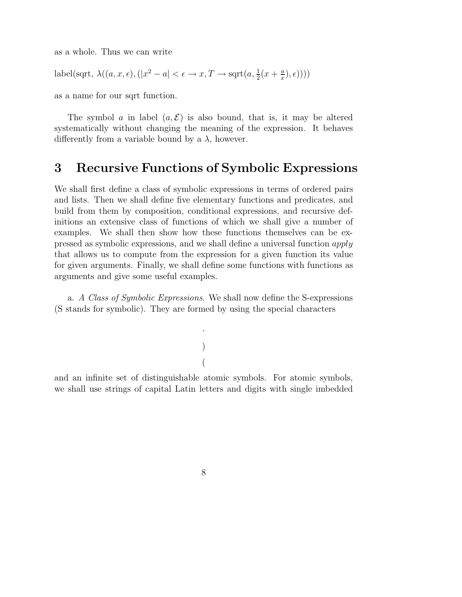as a whole. Thus we can write

label(sqrt,  $\lambda((a, x, \epsilon), (|x^2 - a| < \epsilon \to x, T \to \text{sqrt}(a, \frac{1}{2}(x + \frac{a}{x}))$  $\frac{a}{x}), \epsilon)))$ 

as a name for our sqrt function.

The symbol a in label  $(a, \mathcal{E})$  is also bound, that is, it may be altered systematically without changing the meaning of the expression. It behaves differently from a variable bound by a  $\lambda$ , however.

### 3 Recursive Functions of Symbolic Expressions

We shall first define a class of symbolic expressions in terms of ordered pairs and lists. Then we shall define five elementary functions and predicates, and build from them by composition, conditional expressions, and recursive definitions an extensive class of functions of which we shall give a number of examples. We shall then show how these functions themselves can be expressed as symbolic expressions, and we shall define a universal function apply that allows us to compute from the expression for a given function its value for given arguments. Finally, we shall define some functions with functions as arguments and give some useful examples.

a. A Class of Symbolic Expressions. We shall now define the S-expressions (S stands for symbolic). They are formed by using the special characters

> ) (

·

and an infinite set of distinguishable atomic symbols. For atomic symbols, we shall use strings of capital Latin letters and digits with single imbedded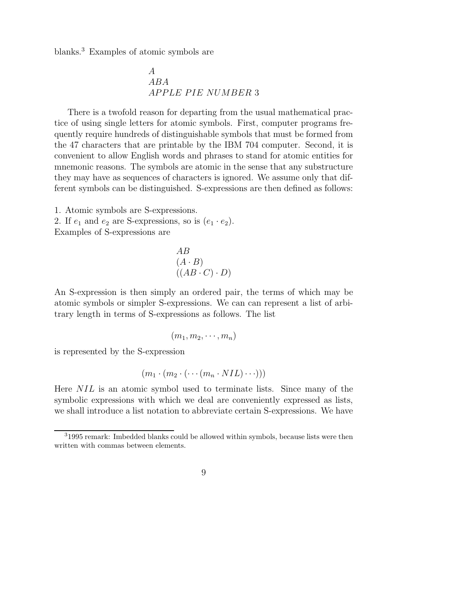blanks.<sup>3</sup> Examples of atomic symbols are

A ABA APPLE PIE NUMBER 3

There is a twofold reason for departing from the usual mathematical practice of using single letters for atomic symbols. First, computer programs frequently require hundreds of distinguishable symbols that must be formed from the 47 characters that are printable by the IBM 704 computer. Second, it is convenient to allow English words and phrases to stand for atomic entities for mnemonic reasons. The symbols are atomic in the sense that any substructure they may have as sequences of characters is ignored. We assume only that different symbols can be distinguished. S-expressions are then defined as follows:

1. Atomic symbols are S-expressions.

2. If  $e_1$  and  $e_2$  are S-expressions, so is  $(e_1 \cdot e_2)$ . Examples of S-expressions are

$$
AB
$$
  

$$
(A \cdot B)
$$
  

$$
((AB \cdot C) \cdot D)
$$

An S-expression is then simply an ordered pair, the terms of which may be atomic symbols or simpler S-expressions. We can can represent a list of arbitrary length in terms of S-expressions as follows. The list

$$
(m_1,m_2,\cdots,m_n)
$$

is represented by the S-expression

$$
(m_1 \cdot (m_2 \cdot (\cdots (m_n \cdot NIL) \cdots)))
$$

Here NIL is an atomic symbol used to terminate lists. Since many of the symbolic expressions with which we deal are conveniently expressed as lists, we shall introduce a list notation to abbreviate certain S-expressions. We have

<sup>3</sup>1995 remark: Imbedded blanks could be allowed within symbols, because lists were then written with commas between elements.

<sup>9</sup>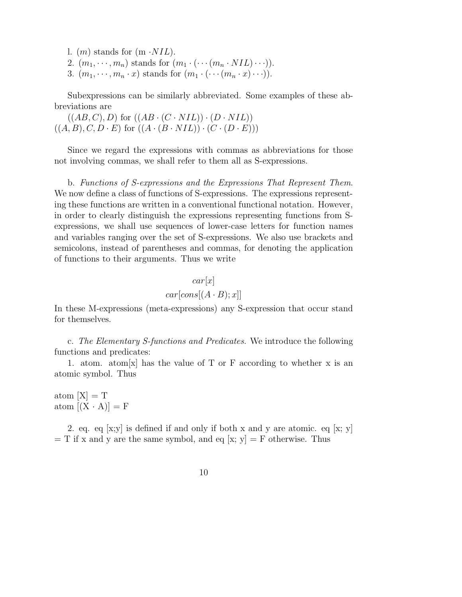l.  $(m)$  stands for  $(m \cdot NIL)$ .

2.  $(m_1, \dots, m_n)$  stands for  $(m_1 \cdot (\dotsm (m_n \cdot NIL) \dots))$ .

3.  $(m_1, \dots, m_n \cdot x)$  stands for  $(m_1 \cdot (\dotsm (m_n \cdot x) \dots)).$ 

Subexpressions can be similarly abbreviated. Some examples of these abbreviations are

 $((AB, C), D)$  for  $((AB \cdot (C \cdot NIL)) \cdot (D \cdot NIL))$  $((A, B), C, D \cdot E)$  for  $((A \cdot (B \cdot NIL)) \cdot (C \cdot (D \cdot E)))$ 

Since we regard the expressions with commas as abbreviations for those not involving commas, we shall refer to them all as S-expressions.

b. Functions of S-expressions and the Expressions That Represent Them. We now define a class of functions of S-expressions. The expressions representing these functions are written in a conventional functional notation. However, in order to clearly distinguish the expressions representing functions from Sexpressions, we shall use sequences of lower-case letters for function names and variables ranging over the set of S-expressions. We also use brackets and semicolons, instead of parentheses and commas, for denoting the application of functions to their arguments. Thus we write

> $car[x]$  $car[cons[(A \cdot B);x]]$

In these M-expressions (meta-expressions) any S-expression that occur stand for themselves.

c. The Elementary S-functions and Predicates. We introduce the following functions and predicates:

1. atom. atom[x] has the value of T or F according to whether x is an atomic symbol. Thus

atom  $[X] = T$ atom  $[(X \cdot A)] = F$ 

2. eq. eq  $[x; y]$  is defined if and only if both x and y are atomic. eq  $[x; y]$  $= T$  if x and y are the same symbol, and eq [x; y]  $= F$  otherwise. Thus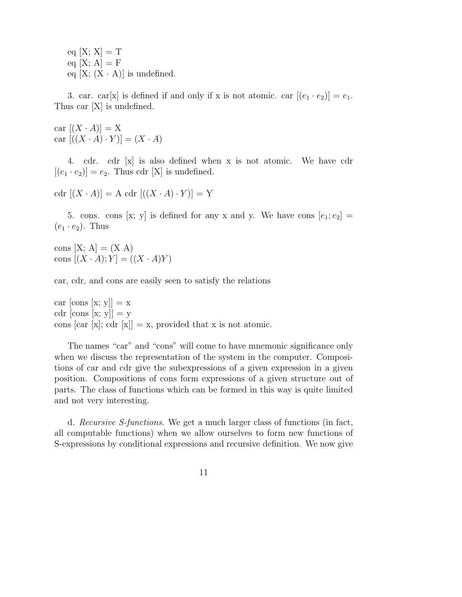eq  $[X; X] = T$ eq  $[X; A] = F$ eq  $[X; (X \cdot A)]$  is undefined.

3. car. car[x] is defined if and only if x is not atomic. car  $[(e_1 \cdot e_2)] = e_1$ . Thus car [X] is undefined.

car  $[(X \cdot A)] = X$ car  $[(X \cdot \hat{A}) \cdot Y)] = (X \cdot A)$ 

4. cdr. cdr [x] is also defined when x is not atomic. We have cdr  $[(e_1 \cdot e_2)] = e_2$ . Thus cdr [X] is undefined.

cdr  $[(X \cdot A)] = A$  cdr  $[((X \cdot A) \cdot Y)] = Y$ 

5. cons. cons [x; y] is defined for any x and y. We have cons  $[e_1; e_2]$  =  $(e_1 \cdot e_2)$ . Thus

cons  $[X; A] = (X A)$ cons  $[(X \cdot A); Y] = ((X \cdot A)Y)$ 

car, cdr, and cons are easily seen to satisfy the relations

car  $[cons [x; y]] = x$ cdr  $[cons [x; y]] = y$ cons [car [x]; cdr [x]] = x, provided that x is not atomic.

The names "car" and "cons" will come to have mnemonic significance only when we discuss the representation of the system in the computer. Compositions of car and cdr give the subexpressions of a given expression in a given position. Compositions of cons form expressions of a given structure out of parts. The class of functions which can be formed in this way is quite limited and not very interesting.

d. Recursive S-functions. We get a much larger class of functions (in fact, all computable functions) when we allow ourselves to form new functions of S-expressions by conditional expressions and recursive definition. We now give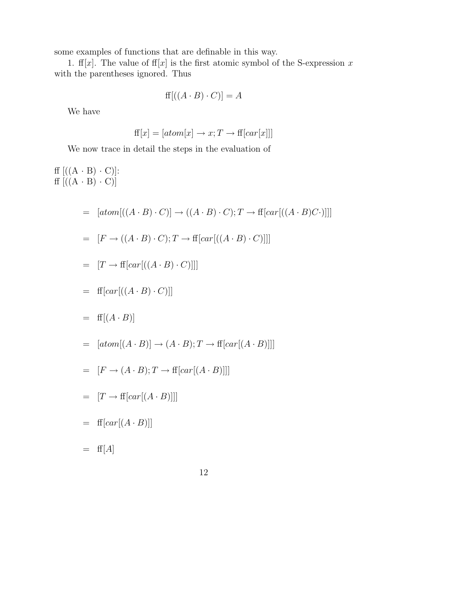some examples of functions that are definable in this way.

1. ff[x]. The value of ff[x] is the first atomic symbol of the S-expression x with the parentheses ignored. Thus

$$
\mathrm{ff}[(A \cdot B) \cdot C)] = A
$$

We have

$$
f[x] = [atom[x] \rightarrow x; T \rightarrow f[x][car[x]]]
$$

We now trace in detail the steps in the evaluation of

ff  $[(A \cdot B) \cdot C]$ : ff  $[(A \cdot B) \cdot C)]$ 

- $= \left[atom(((A \cdot B) \cdot C)) \rightarrow ((A \cdot B) \cdot C); T \rightarrow \text{ff}[car[((A \cdot B)C \cdot)]]\right]$
- $= [F \rightarrow ((A \cdot B) \cdot C); T \rightarrow \text{ff}[car[((A \cdot B) \cdot C)]]]$
- $= [T \rightarrow \text{ff}[\text{car}[(A \cdot B) \cdot C)]]]$

$$
= \quad \text{ff}[car[((A \cdot B) \cdot C)]]
$$

$$
= \mathop{\text{ff}}\nolimits[(A \cdot B)]
$$

- $= [atom[(A \cdot B)] \rightarrow (A \cdot B); T \rightarrow ff[car[(A \cdot B)]]]$
- $= [F \rightarrow (A \cdot B); T \rightarrow \text{ff}[car[(A \cdot B)]]]$
- $= [T \rightarrow \text{ff}[car[(A \cdot B)]]]$
- $=$  f[[car[(A · B)]]
- $=$  ff[A]

$$
12\quad
$$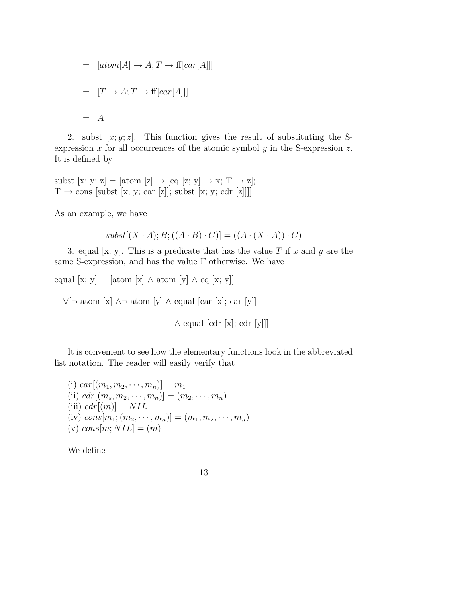$$
= [atom[A] \rightarrow A; T \rightarrow ff[car[A]]]
$$

$$
= [T \rightarrow A; T \rightarrow ff[car[A]]]
$$

$$
= A
$$

2. subst  $[x; y; z]$ . This function gives the result of substituting the Sexpression  $x$  for all occurrences of the atomic symbol  $y$  in the S-expression  $z$ . It is defined by

subst [x; y; z] = [atom [z]  $\rightarrow$  [eq [z; y]  $\rightarrow$  x; T  $\rightarrow$  z];  $T \rightarrow \text{cons}$  [subst [x; y; car [z]]; subst [x; y; cdr [z]]]]

As an example, we have

$$
subst[(X \cdot A); B; ((A \cdot B) \cdot C)] = ((A \cdot (X \cdot A)) \cdot C)
$$

3. equal [x; y]. This is a predicate that has the value T if x and y are the same S-expression, and has the value F otherwise. We have

equal [x; y] = [atom [x]  $\wedge$  atom [y]  $\wedge$  eq [x; y]]

∨[¬ atom [x] ∧¬ atom [y] ∧ equal [car [x]; car [y]]

 $\wedge$  equal [cdr [x]; cdr [y]]]

It is convenient to see how the elementary functions look in the abbreviated list notation. The reader will easily verify that

(i) 
$$
car[(m_1, m_2, \cdots, m_n)] = m_1
$$
  
\n(ii)  $cdr[(m_s, m_2, \cdots, m_n)] = (m_2, \cdots, m_n)$   
\n(iii)  $cdr[(m)] = NIL$   
\n(iv)  $cons[m_1; (m_2, \cdots, m_n)] = (m_1, m_2, \cdots, m_n)$   
\n(v)  $cons[m; NIL] = (m)$ 

We define

13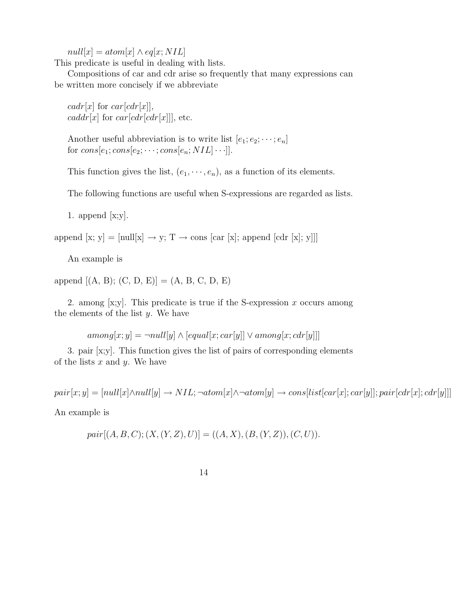$null[x] = atom[x] \wedge eq[x; NIL]$ 

This predicate is useful in dealing with lists.

Compositions of car and cdr arise so frequently that many expressions can be written more concisely if we abbreviate

 $cadr[x]$  for  $car[cdr[x]],$ caddr[x] for  $car[cdr[x]]$ , etc.

Another useful abbreviation is to write list  $[e_1; e_2; \dots; e_n]$ for  $cons[e_1;cons[e_2; \cdots;cons[e_n;NIL]\cdots]].$ 

This function gives the list,  $(e_1, \dots, e_n)$ , as a function of its elements.

The following functions are useful when S-expressions are regarded as lists.

1. append  $[x; y]$ .

append [x; y] = [null[x]  $\rightarrow$  y; T  $\rightarrow$  cons [car [x]; append [cdr [x]; y]]]

An example is

append  $[(A, B); (C, D, E)] = (A, B, C, D, E)$ 

2. among  $[x,y]$ . This predicate is true if the S-expression x occurs among the elements of the list  $y$ . We have

among $[x; y] = \neg null[y] \wedge [equal[x; car[y]] \vee among[x; cdr[y]]]$ 

3. pair [x;y]. This function gives the list of pairs of corresponding elements of the lists  $x$  and  $y$ . We have

 $pair[x; y] = [null[x]\wedge null[y] \rightarrow NIL; \neg atom[x]\wedge \neg atom[y] \rightarrow cons[list[car[x]; car[y]]; pair[cdr[x]; cdr[y]]]$ 

An example is

 $pair[(A, B, C); (X, (Y, Z), U)] = ((A, X), (B, (Y, Z)), (C, U)).$ 

14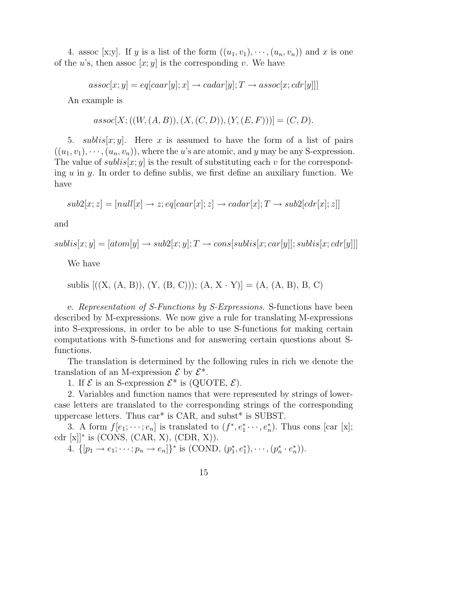4. assoc [x;y]. If y is a list of the form  $((u_1, v_1), \cdots, (u_n, v_n))$  and x is one of the u's, then assoc  $[x; y]$  is the corresponding v. We have

$$
assoc[x; y] = eq[caar[y]; x] \rightarrow cadar[y]; T \rightarrow assoc[x; cdr[y]]]
$$

An example is

$$
assoc[X; ((W, (A, B)), (X, (C, D)), (Y, (E, F)))] = (C, D).
$$

5. sublis $[x; y]$ . Here x is assumed to have the form of a list of pairs  $((u_1, v_1), \cdots, (u_n, v_n))$ , where the u's are atomic, and y may be any S-expression. The value of  $sublis[x; y]$  is the result of substituting each v for the corresponding  $u$  in  $y$ . In order to define sublis, we first define an auxiliary function. We have

$$
sub2[x; z] = [null[x] \rightarrow z; eq[caar[x]; z] \rightarrow cadar[x]; T \rightarrow sub2[cdr[x]; z]]
$$

and

$$
sublis[x; y] = [atom[y] \rightarrow sub2[x; y]; T \rightarrow cons[sublis[x; car[y]]; sublis[x; cdr[y]]]
$$

We have

sublis 
$$
[((X, (A, B)), (Y, (B, C)))
$$
;  $(A, X \cdot Y)] = (A, (A, B), B, C)$ 

e. Representation of S-Functions by S-Expressions. S-functions have been described by M-expressions. We now give a rule for translating M-expressions into S-expressions, in order to be able to use S-functions for making certain computations with S-functions and for answering certain questions about Sfunctions.

The translation is determined by the following rules in rich we denote the translation of an M-expression  $\mathcal E$  by  $\mathcal E^*$ .

1. If  $\mathcal{E}$  is an S-expression  $\mathcal{E}^*$  is (QUOTE,  $\mathcal{E}$ ).

2. Variables and function names that were represented by strings of lowercase letters are translated to the corresponding strings of the corresponding uppercase letters. Thus car\* is CAR, and subst\* is SUBST.

3. A form  $f[e_1; \dots; e_n]$  is translated to  $(f^*, e_1^*, \dots, e_n^*)$ . Thus cons [car [x]; cdr  $[x]]^*$  is (CONS, (CAR, X), (CDR, X)).

4.  $\{ [p_1 \to e_1; \cdots; p_n \to e_n] \}^*$  is (COND,  $(p_1^*, e_1^*)$ ,  $\cdots$ ,  $(p_n^*, e_n^*)$  $\frac{1}{n} \cdot e_n^*$  $\binom{*}{n}$ .

$$
15\,
$$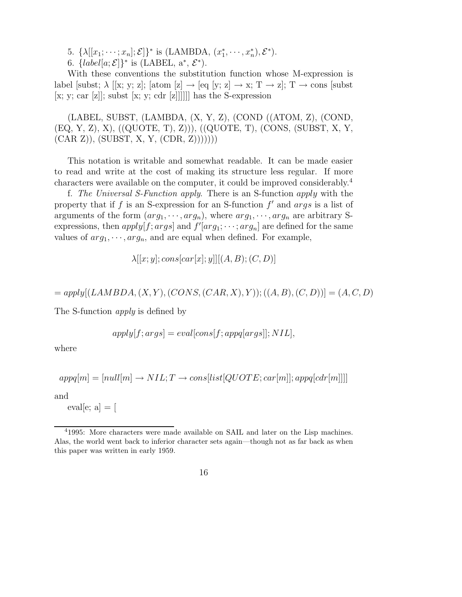5.  $\{\lambda[[x_1; \dots; x_n]; \mathcal{E}]\}^*$  is (LAMBDA,  $(x_1^*, \dots, x_n^*)$ ,  $\mathcal{E}^*$ ).

6.  $\{label[a; \mathcal{E}]\}^*$  is (LABEL,  $a^*, \mathcal{E}^*$ ).

With these conventions the substitution function whose M-expression is label [subst;  $\lambda$  [[x; y; z]; [atom [z]  $\rightarrow$  [eq [y; z]  $\rightarrow$  x; T  $\rightarrow$  z]; T  $\rightarrow$  cons [subst]  $[x; y; \text{car } [z]]$ ; subst  $[x; y; \text{cdr } [z]]$ ]]]] has the S-expression

(LABEL, SUBST, (LAMBDA, (X, Y, Z), (COND ((ATOM, Z), (COND, (EQ, Y, Z), X), ((QUOTE, T), Z))), ((QUOTE, T), (CONS, (SUBST, X, Y,  $(CAR Z), (SUBST, X, Y, (CDR, Z))))$ 

This notation is writable and somewhat readable. It can be made easier to read and write at the cost of making its structure less regular. If more characters were available on the computer, it could be improved considerably.<sup>4</sup>

f. The Universal S-Function apply. There is an S-function apply with the property that if f is an S-expression for an S-function  $f'$  and  $args$  is a list of arguments of the form  $(arg_1, \dots, arg_n)$ , where  $arg_1, \dots, arg_n$  are arbitrary Sexpressions, then  $apply[f;args]$  and  $f'[arg_1; \cdots; arg_n]$  are defined for the same values of  $arg_1, \dots, arg_n$ , and are equal when defined. For example,

 $\lambda[[x; y]; const [car[x]; y]][(A, B); (C, D)]$ 

$$
= apply[(LAMBDA, (X, Y), (CONS, (CAR, X), Y)); ((A, B), (C, D))] = (A, C, D)
$$

The S-function *apply* is defined by

$$
apply[f;args] = eval[cons[f;appq[args]]; NIL],
$$

where

$$
appq[m] = [null[m] \rightarrow NIL; T \rightarrow cons[list[QUOTE; car[m]]; appq[cdr[m]]]]
$$
  
and

eval[e;  $a$ ] = [

16

<sup>4</sup>1995: More characters were made available on SAIL and later on the Lisp machines. Alas, the world went back to inferior character sets again—though not as far back as when this paper was written in early 1959.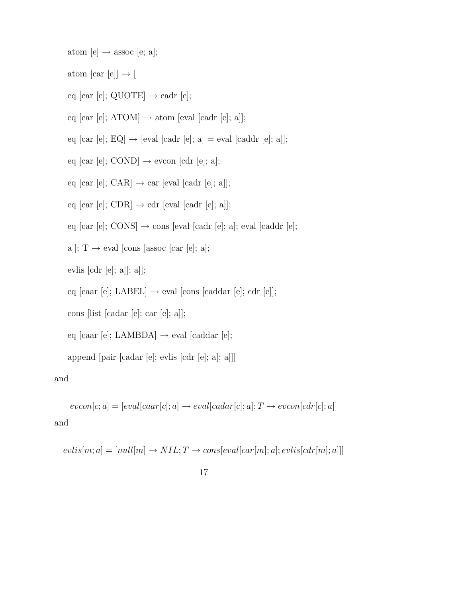atom  $[e] \rightarrow$  assoc  $[e; a]$ ;

atom [car [e]]  $\rightarrow$  [

- eq [car [e]; QUOTE]  $\rightarrow$  cadr [e];
- eq [car [e];  $ATOM$ ]  $\rightarrow$  atom [eval [cadr [e]; a]];
- eq [car [e]; EQ]  $\rightarrow$  [eval [cadr [e]; a] = eval [caddr [e]; a]];
- eq [car [e]; COND]  $\rightarrow$  evcon [cdr [e]; a];
- eq [car [e]; CAR]  $\rightarrow$  car [eval [cadr [e]; a]];
- eq [car [e];  $CDR$ ]  $\rightarrow$  cdr [eval [cadr [e]; a]];
- eq [car [e];  $\text{CONS} \rightarrow \text{cons}$  [eval [cadr [e]; a]; eval [caddr [e];
- a]];  $T$   $\rightarrow$  eval [cons [assoc [car [e]; a];
- evlis [cdr [e]; a]]; a]];
- eq [caar [e]; LABEL]  $\rightarrow$  eval [cons [caddar [e]; cdr [e]];
- cons [list [cadar [e]; car [e]; a]];
- eq [caar [e]; LAMBDA]  $\rightarrow$  eval [caddar [e];
- append [pair [cadar [e]; evlis [cdr [e]; a]; a]]]

#### and

 $even[c; a] = [eval[caar[c]; a] \rightarrow eval[cadar[c]; a]; T \rightarrow evcon[cdr[c]; a]]$ and

 $evis[m; a] = [null[m] \rightarrow NIL; T \rightarrow cons[eval[car[m]; a]; evis[cdr[m]; a]]]$ 

17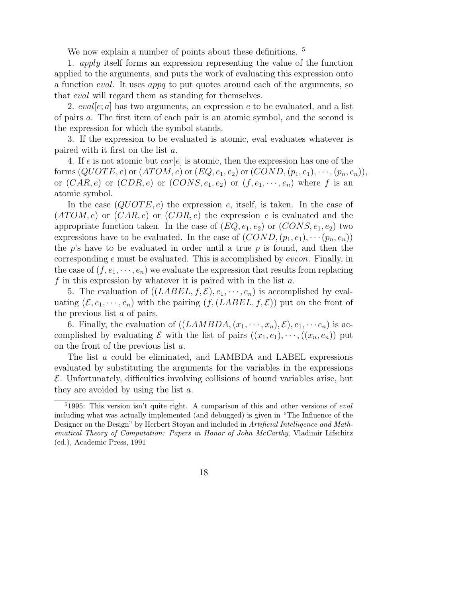We now explain a number of points about these definitions. <sup>5</sup>

1. apply itself forms an expression representing the value of the function applied to the arguments, and puts the work of evaluating this expression onto a function eval. It uses appq to put quotes around each of the arguments, so that eval will regard them as standing for themselves.

2.  $eval[e; a]$  has two arguments, an expression e to be evaluated, and a list of pairs a. The first item of each pair is an atomic symbol, and the second is the expression for which the symbol stands.

3. If the expression to be evaluated is atomic, eval evaluates whatever is paired with it first on the list a.

4. If e is not atomic but  $car[e]$  is atomic, then the expression has one of the forms  $(QUOTE, e)$  or  $(ATOM, e)$  or  $(EQ, e_1, e_2)$  or  $(COND, (p_1, e_1), \dots, (p_n, e_n)),$ or  $(CAR, e)$  or  $(CDR, e)$  or  $(CONS, e_1, e_2)$  or  $(f, e_1, \dots, e_n)$  where f is an atomic symbol.

In the case  $(QUOTE, e)$  the expression e, itself, is taken. In the case of  $(ATOM, e)$  or  $(CAR, e)$  or  $(CDR, e)$  the expression e is evaluated and the appropriate function taken. In the case of  $(EQ, e_1, e_2)$  or  $(CONS, e_1, e_2)$  two expressions have to be evaluated. In the case of  $(COND,(p_1, e_1), \cdots (p_n, e_n))$ the  $p$ 's have to be evaluated in order until a true  $p$  is found, and then the corresponding  $e$  must be evaluated. This is accomplished by *evcon*. Finally, in the case of  $(f, e_1, \dots, e_n)$  we evaluate the expression that results from replacing f in this expression by whatever it is paired with in the list  $a$ .

5. The evaluation of  $((LABEL, f, \mathcal{E}), e_1, \dots, e_n)$  is accomplished by evaluating  $(\mathcal{E}, e_1, \dots, e_n)$  with the pairing  $(f, (LABEL, f, \mathcal{E}))$  put on the front of the previous list a of pairs.

6. Finally, the evaluation of  $((LAMBDA,(x_1,\dots,x_n),\mathcal{E}),e_1,\dots,e_n)$  is accomplished by evaluating  $\mathcal E$  with the list of pairs  $((x_1, e_1), \cdots, ((x_n, e_n))$  put on the front of the previous list a.

The list a could be eliminated, and LAMBDA and LABEL expressions evaluated by substituting the arguments for the variables in the expressions  $\mathcal E$ . Unfortunately, difficulties involving collisions of bound variables arise, but they are avoided by using the list a.

 $51995$ : This version isn't quite right. A comparison of this and other versions of *eval* including what was actually implemented (and debugged) is given in "The Influence of the Designer on the Design" by Herbert Stoyan and included in Artificial Intelligence and Mathematical Theory of Computation: Papers in Honor of John McCarthy, Vladimir Lifschitz (ed.), Academic Press, 1991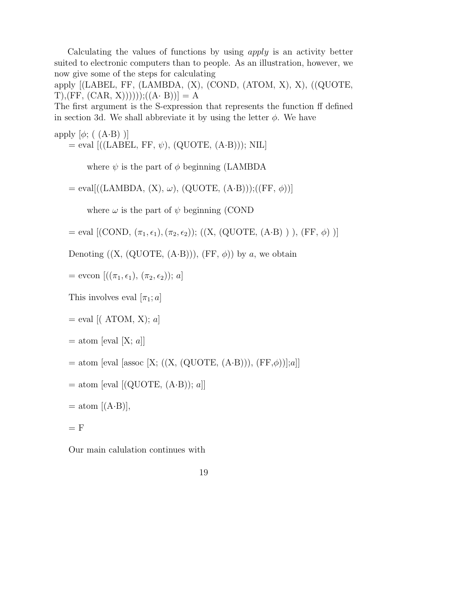Calculating the values of functions by using apply is an activity better suited to electronic computers than to people. As an illustration, however, we now give some of the steps for calculating

apply [(LABEL, FF, (LAMBDA, (X), (COND, (ATOM, X), X), ((QUOTE,  $T$ ),(FF, (CAR, X)))))));((A· B))] = A

The first argument is the S-expression that represents the function ff defined in section 3d. We shall abbreviate it by using the letter  $\phi$ . We have

apply  $[\phi; ( (A-B) )]$  $=$  eval  $[(\text{LABEL}, \text{FF}, \psi), (\text{QUOTE}, (\text{A-B}))), \text{NIL}]$ 

where  $\psi$  is the part of  $\phi$  beginning (LAMBDA

 $= \text{eval}[(\text{LAMBDA}, (X), \omega), (\text{QUOTE}, (A \cdot B))]; (\text{(FF, }\phi))]$ 

where  $\omega$  is the part of  $\psi$  beginning (COND)

 $=$  eval  $[({\rm COND}, (\pi_1, \epsilon_1), (\pi_2, \epsilon_2)); ((X, ({\rm QUOTE}, (A \cdot B))), (FF, \phi))]$ 

Denoting  $((X, (QUOTE, (A-B))), (FF, \phi))$  by a, we obtain

= evcon  $[(\pi_1, \epsilon_1), (\pi_2, \epsilon_2)); a]$ 

This involves eval  $[\pi_1; a]$ 

 $=$  eval  $[($  ATOM, X $); a]$ 

 $=$  atom [eval [X; a]]

 $=$  atom [eval [assoc [X; ((X, (QUOTE, (A·B))), (FF, $\phi$ )];a]]

$$
= atom [eval [(QUOTE, (A-B)); a]]
$$

 $=$  atom  $[(A-B)],$ 

 $=$  F

Our main calulation continues with

$$
19\quad
$$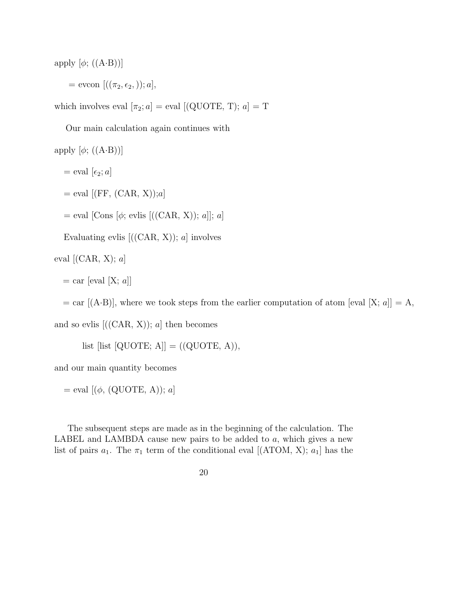apply  $[\phi; ((A-B))]$ 

 $=$  evcon  $[(\pi_2, \epsilon_2,)); a],$ 

which involves eval  $[\pi_2; a] =$  eval  $[$ (QUOTE, T);  $a] =$  T

Our main calculation again continues with

- apply  $[\phi; ((A \cdot B))]$ 
	- $=$  eval  $[\epsilon_2; a]$
	- $=$  eval  $[$ (FF, (CAR, X)); $a]$
	- $=$  eval [Cons [ $\phi$ ; evlis [((CAR, X)); a]]; a]

Evaluating evlis  $[((\text{CAR}, \text{X}); a]$  involves

eval  $[({\rm CAR}, X); a]$ 

 $=$  car [eval [X;  $a$ ]]

 $=$  car [(A·B)], where we took steps from the earlier computation of atom [eval [X; a]] = A,

and so evlis  $[((\text{CAR}, \text{X}); a]$  then becomes

list [list [QUOTE;  $A$ ]] = ((QUOTE,  $A$ )),

and our main quantity becomes

 $=$  eval  $[(\phi, (QUOTE, A)); a]$ 

The subsequent steps are made as in the beginning of the calculation. The LABEL and LAMBDA cause new pairs to be added to  $a$ , which gives a new list of pairs  $a_1$ . The  $\pi_1$  term of the conditional eval [(ATOM, X);  $a_1$ ] has the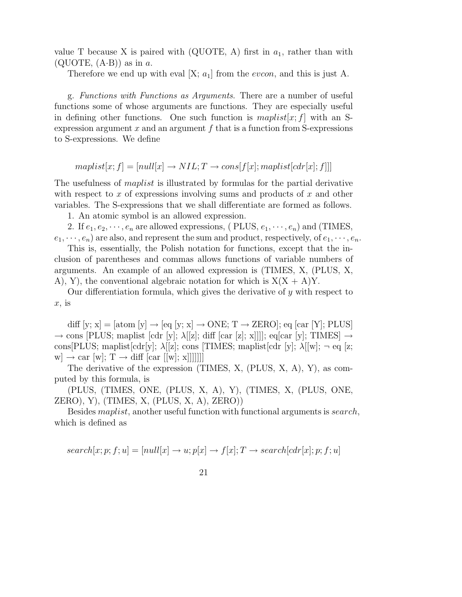value T because X is paired with (QUOTE, A) first in  $a_1$ , rather than with  $(QUOTE, (A-B))$  as in a.

Therefore we end up with eval  $[X; a_1]$  from the *evcon*, and this is just A.

g. Functions with Functions as Arguments. There are a number of useful functions some of whose arguments are functions. They are especially useful in defining other functions. One such function is  $maplist[x; f]$  with an Sexpression argument  $x$  and an argument  $f$  that is a function from S-expressions to S-expressions. We define

 $maplist[x; f] = [null[x] \rightarrow NIL; T \rightarrow cons[f[x];maplist[cdr[x]; f]]]$ 

The usefulness of maplist is illustrated by formulas for the partial derivative with respect to  $x$  of expressions involving sums and products of  $x$  and other variables. The S-expressions that we shall differentiate are formed as follows.

1. An atomic symbol is an allowed expression.

2. If  $e_1, e_2, \dots, e_n$  are allowed expressions, (PLUS,  $e_1, \dots, e_n$ ) and (TIMES,  $e_1, \dots, e_n$ ) are also, and represent the sum and product, respectively, of  $e_1, \dots, e_n$ .

This is, essentially, the Polish notation for functions, except that the inclusion of parentheses and commas allows functions of variable numbers of arguments. An example of an allowed expression is (TIMES, X, (PLUS, X, A), Y), the conventional algebraic notation for which is  $X(X + A)Y$ .

Our differentiation formula, which gives the derivative of  $y$  with respect to  $x$ , is

diff  $[y; x] = [atom [y] \rightarrow [eq [y; x] \rightarrow ONE; T \rightarrow ZERO]; eq [car [Y]; PLUS]$  $\rightarrow$  cons [PLUS; maplist [cdr [y];  $\lambda$ [[z]; diff [car [z]; x]]]]; eq[car [y]; TIMES]  $\rightarrow$ cons[PLUS; maplist[cdr[y];  $\lambda[[z]]$ ; cons [TIMES; maplist[cdr [y];  $\lambda[[w]]$ ;  $\neg$  eq [z;  $w \rightarrow \text{car} [w]; T \rightarrow \text{diff} [\text{car} [[w]; x]]]]$ 

The derivative of the expression (TIMES, X, (PLUS, X, A), Y), as computed by this formula, is

(PLUS, (TIMES, ONE, (PLUS, X, A), Y), (TIMES, X, (PLUS, ONE, ZERO), Y), (TIMES, X, (PLUS, X, A), ZERO))

Besides *maplist*, another useful function with functional arguments is *search*, which is defined as

 $search[x; p; f; u] = [null[x] \rightarrow u; p[x] \rightarrow f[x]; T \rightarrow search[cdr[x]; p; f; u]$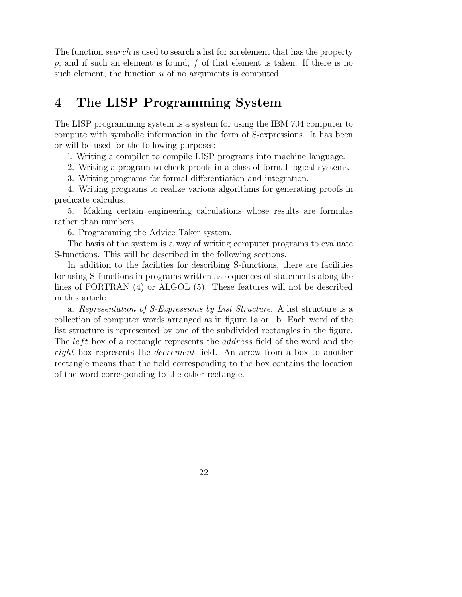The function *search* is used to search a list for an element that has the property  $p$ , and if such an element is found,  $f$  of that element is taken. If there is no such element, the function u of no arguments is computed.

### 4 The LISP Programming System

The LISP programming system is a system for using the IBM 704 computer to compute with symbolic information in the form of S-expressions. It has been or will be used for the following purposes:

l. Writing a compiler to compile LISP programs into machine language.

2. Writing a program to check proofs in a class of formal logical systems.

3. Writing programs for formal differentiation and integration.

4. Writing programs to realize various algorithms for generating proofs in predicate calculus.

5. Making certain engineering calculations whose results are formulas rather than numbers.

6. Programming the Advice Taker system.

The basis of the system is a way of writing computer programs to evaluate S-functions. This will be described in the following sections.

In addition to the facilities for describing S-functions, there are facilities for using S-functions in programs written as sequences of statements along the lines of FORTRAN (4) or ALGOL (5). These features will not be described in this article.

a. Representation of S-Expressions by List Structure. A list structure is a collection of computer words arranged as in figure 1a or 1b. Each word of the list structure is represented by one of the subdivided rectangles in the figure. The *left* box of a rectangle represents the *address* field of the word and the right box represents the decrement field. An arrow from a box to another rectangle means that the field corresponding to the box contains the location of the word corresponding to the other rectangle.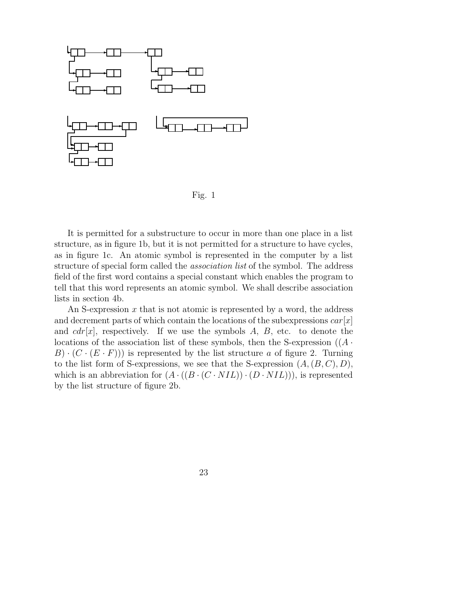

Fig. 1

It is permitted for a substructure to occur in more than one place in a list structure, as in figure 1b, but it is not permitted for a structure to have cycles, as in figure 1c. An atomic symbol is represented in the computer by a list structure of special form called the *association list* of the symbol. The address field of the first word contains a special constant which enables the program to tell that this word represents an atomic symbol. We shall describe association lists in section 4b.

An S-expression  $x$  that is not atomic is represented by a word, the address and decrement parts of which contain the locations of the subexpressions  $car[x]$ and  $cdr[x]$ , respectively. If we use the symbols  $A, B$ , etc. to denote the locations of the association list of these symbols, then the S-expression ( $(A \cdot$  $B) \cdot (C \cdot (E \cdot F))$  is represented by the list structure a of figure 2. Turning to the list form of S-expressions, we see that the S-expression  $(A, (B, C), D)$ , which is an abbreviation for  $(A \cdot ((B \cdot (C \cdot NIL)) \cdot (D \cdot NIL)))$ , is represented by the list structure of figure 2b.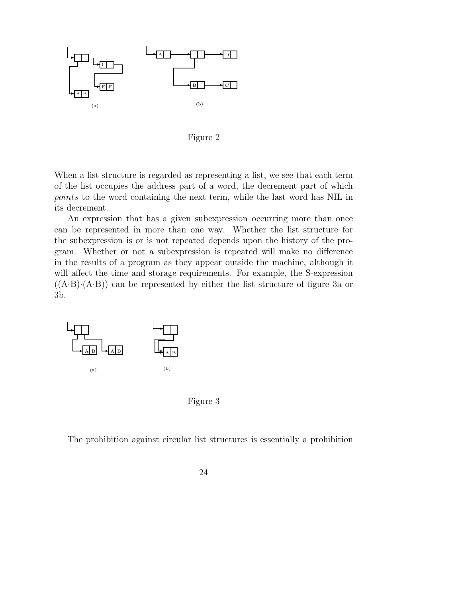

Figure 2

When a list structure is regarded as representing a list, we see that each term of the list occupies the address part of a word, the decrement part of which points to the word containing the next term, while the last word has NIL in its decrement.

An expression that has a given subexpression occurring more than once can be represented in more than one way. Whether the list structure for the subexpression is or is not repeated depends upon the history of the program. Whether or not a subexpression is repeated will make no difference in the results of a program as they appear outside the machine, although it will affect the time and storage requirements. For example, the S-expression  $((A·B)·(A·B))$  can be represented by either the list structure of figure 3a or 3b.



Figure 3

The prohibition against circular list structures is essentially a prohibition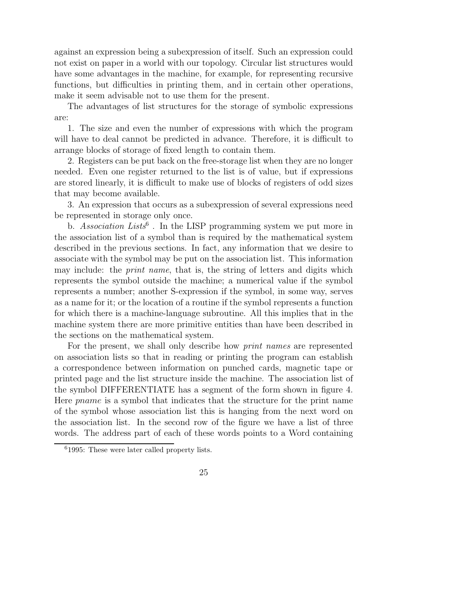against an expression being a subexpression of itself. Such an expression could not exist on paper in a world with our topology. Circular list structures would have some advantages in the machine, for example, for representing recursive functions, but difficulties in printing them, and in certain other operations, make it seem advisable not to use them for the present.

The advantages of list structures for the storage of symbolic expressions are:

1. The size and even the number of expressions with which the program will have to deal cannot be predicted in advance. Therefore, it is difficult to arrange blocks of storage of fixed length to contain them.

2. Registers can be put back on the free-storage list when they are no longer needed. Even one register returned to the list is of value, but if expressions are stored linearly, it is difficult to make use of blocks of registers of odd sizes that may become available.

3. An expression that occurs as a subexpression of several expressions need be represented in storage only once.

b. Association Lists <sup>6</sup>. In the LISP programming system we put more in the association list of a symbol than is required by the mathematical system described in the previous sections. In fact, any information that we desire to associate with the symbol may be put on the association list. This information may include: the *print name*, that is, the string of letters and digits which represents the symbol outside the machine; a numerical value if the symbol represents a number; another S-expression if the symbol, in some way, serves as a name for it; or the location of a routine if the symbol represents a function for which there is a machine-language subroutine. All this implies that in the machine system there are more primitive entities than have been described in the sections on the mathematical system.

For the present, we shall only describe how *print names* are represented on association lists so that in reading or printing the program can establish a correspondence between information on punched cards, magnetic tape or printed page and the list structure inside the machine. The association list of the symbol DIFFERENTIATE has a segment of the form shown in figure 4. Here pname is a symbol that indicates that the structure for the print name of the symbol whose association list this is hanging from the next word on the association list. In the second row of the figure we have a list of three words. The address part of each of these words points to a Word containing

<sup>6</sup>1995: These were later called property lists.

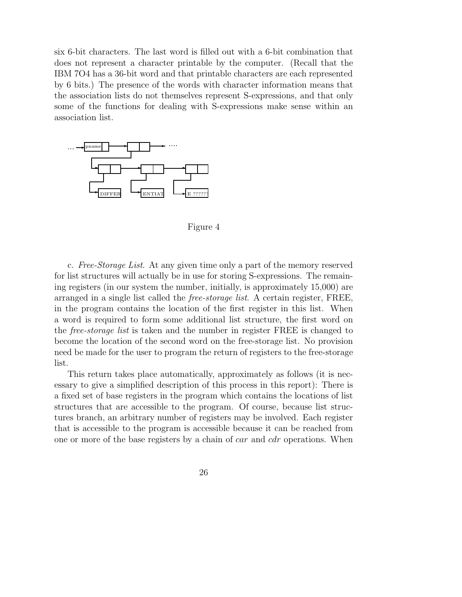six 6-bit characters. The last word is filled out with a 6-bit combination that does not represent a character printable by the computer. (Recall that the IBM 7O4 has a 36-bit word and that printable characters are each represented by 6 bits.) The presence of the words with character information means that the association lists do not themselves represent S-expressions, and that only some of the functions for dealing with S-expressions make sense within an association list.



Figure 4

c. Free-Storage List. At any given time only a part of the memory reserved for list structures will actually be in use for storing S-expressions. The remaining registers (in our system the number, initially, is approximately 15,000) are arranged in a single list called the free-storage list. A certain register, FREE, in the program contains the location of the first register in this list. When a word is required to form some additional list structure, the first word on the free-storage list is taken and the number in register FREE is changed to become the location of the second word on the free-storage list. No provision need be made for the user to program the return of registers to the free-storage list.

This return takes place automatically, approximately as follows (it is necessary to give a simplified description of this process in this report): There is a fixed set of base registers in the program which contains the locations of list structures that are accessible to the program. Of course, because list structures branch, an arbitrary number of registers may be involved. Each register that is accessible to the program is accessible because it can be reached from one or more of the base registers by a chain of car and cdr operations. When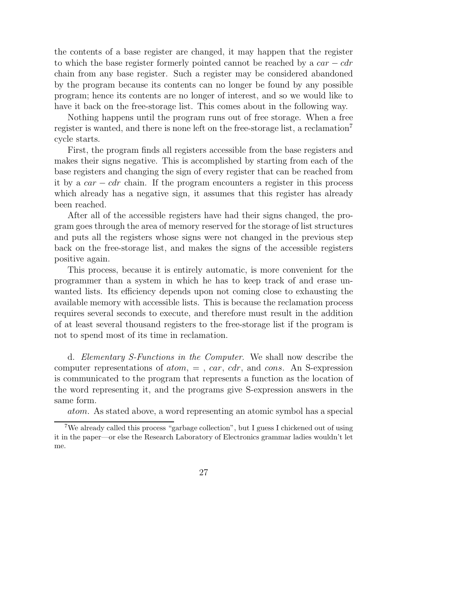the contents of a base register are changed, it may happen that the register to which the base register formerly pointed cannot be reached by a  $car - cdr$ chain from any base register. Such a register may be considered abandoned by the program because its contents can no longer be found by any possible program; hence its contents are no longer of interest, and so we would like to have it back on the free-storage list. This comes about in the following way.

Nothing happens until the program runs out of free storage. When a free register is wanted, and there is none left on the free-storage list, a reclamation<sup>7</sup> cycle starts.

First, the program finds all registers accessible from the base registers and makes their signs negative. This is accomplished by starting from each of the base registers and changing the sign of every register that can be reached from it by a  $car - cdr$  chain. If the program encounters a register in this process which already has a negative sign, it assumes that this register has already been reached.

After all of the accessible registers have had their signs changed, the program goes through the area of memory reserved for the storage of list structures and puts all the registers whose signs were not changed in the previous step back on the free-storage list, and makes the signs of the accessible registers positive again.

This process, because it is entirely automatic, is more convenient for the programmer than a system in which he has to keep track of and erase unwanted lists. Its efficiency depends upon not coming close to exhausting the available memory with accessible lists. This is because the reclamation process requires several seconds to execute, and therefore must result in the addition of at least several thousand registers to the free-storage list if the program is not to spend most of its time in reclamation.

d. Elementary S-Functions in the Computer. We shall now describe the computer representations of *atom*,  $=$ , *car*, *cdr*, and *cons*. An S-expression is communicated to the program that represents a function as the location of the word representing it, and the programs give S-expression answers in the same form.

atom. As stated above, a word representing an atomic symbol has a special

<sup>7</sup>We already called this process "garbage collection", but I guess I chickened out of using it in the paper—or else the Research Laboratory of Electronics grammar ladies wouldn't let me.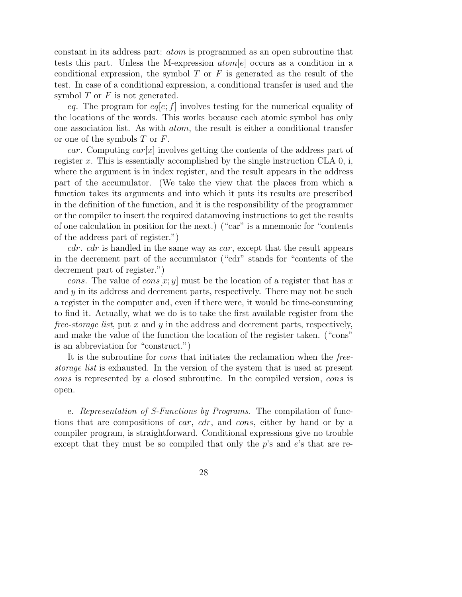constant in its address part: atom is programmed as an open subroutine that tests this part. Unless the M-expression atom[e] occurs as a condition in a conditional expression, the symbol  $T$  or  $F$  is generated as the result of the test. In case of a conditional expression, a conditional transfer is used and the symbol  $T$  or  $F$  is not generated.

eq. The program for eq[e; f] involves testing for the numerical equality of the locations of the words. This works because each atomic symbol has only one association list. As with atom, the result is either a conditional transfer or one of the symbols  $T$  or  $F$ .

car. Computing car[x] involves getting the contents of the address part of register x. This is essentially accomplished by the single instruction CLA  $0, i$ , where the argument is in index register, and the result appears in the address part of the accumulator. (We take the view that the places from which a function takes its arguments and into which it puts its results are prescribed in the definition of the function, and it is the responsibility of the programmer or the compiler to insert the required datamoving instructions to get the results of one calculation in position for the next.) ("car" is a mnemonic for "contents of the address part of register.")

cdr. cdr is handled in the same way as car, except that the result appears in the decrement part of the accumulator ("cdr" stands for "contents of the decrement part of register.")

cons. The value of  $cons[x; y]$  must be the location of a register that has x and  $y$  in its address and decrement parts, respectively. There may not be such a register in the computer and, even if there were, it would be time-consuming to find it. Actually, what we do is to take the first available register from the *free-storage list*, put  $x$  and  $y$  in the address and decrement parts, respectively, and make the value of the function the location of the register taken. ("cons" is an abbreviation for "construct.")

It is the subroutine for cons that initiates the reclamation when the freestorage list is exhausted. In the version of the system that is used at present cons is represented by a closed subroutine. In the compiled version, cons is open.

e. Representation of S-Functions by Programs. The compilation of functions that are compositions of car, cdr, and cons, either by hand or by a compiler program, is straightforward. Conditional expressions give no trouble except that they must be so compiled that only the  $p$ 's and  $e$ 's that are re-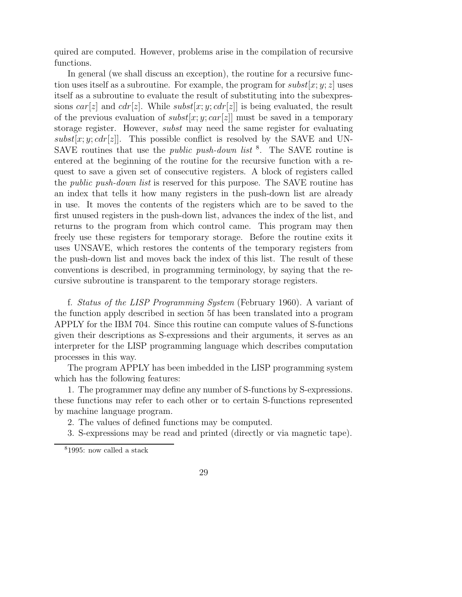quired are computed. However, problems arise in the compilation of recursive functions.

In general (we shall discuss an exception), the routine for a recursive function uses itself as a subroutine. For example, the program for subst[x; y; z] uses itself as a subroutine to evaluate the result of substituting into the subexpressions  $car[z]$  and  $cdr[z]$ . While  $subst[x; y; cdr[z]]$  is being evaluated, the result of the previous evaluation of  $\textit{subst}[x; y; \textit{car}[z]]$  must be saved in a temporary storage register. However, subst may need the same register for evaluating  $subst[x; y; cdr[z]$ . This possible conflict is resolved by the SAVE and UN-SAVE routines that use the *public push-down list*  $8$ . The SAVE routine is entered at the beginning of the routine for the recursive function with a request to save a given set of consecutive registers. A block of registers called the public push-down list is reserved for this purpose. The SAVE routine has an index that tells it how many registers in the push-down list are already in use. It moves the contents of the registers which are to be saved to the first unused registers in the push-down list, advances the index of the list, and returns to the program from which control came. This program may then freely use these registers for temporary storage. Before the routine exits it uses UNSAVE, which restores the contents of the temporary registers from the push-down list and moves back the index of this list. The result of these conventions is described, in programming terminology, by saying that the recursive subroutine is transparent to the temporary storage registers.

f. Status of the LISP Programming System (February 1960). A variant of the function apply described in section 5f has been translated into a program APPLY for the IBM 704. Since this routine can compute values of S-functions given their descriptions as S-expressions and their arguments, it serves as an interpreter for the LISP programming language which describes computation processes in this way.

The program APPLY has been imbedded in the LISP programming system which has the following features:

1. The programmer may define any number of S-functions by S-expressions. these functions may refer to each other or to certain S-functions represented by machine language program.

- 2. The values of defined functions may be computed.
- 3. S-expressions may be read and printed (directly or via magnetic tape).

<sup>8</sup>1995: now called a stack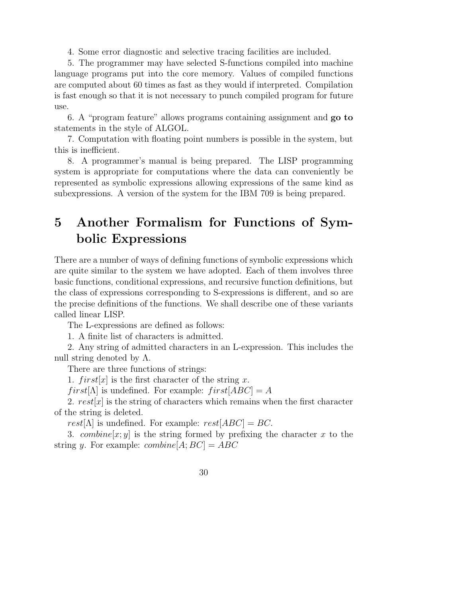4. Some error diagnostic and selective tracing facilities are included.

5. The programmer may have selected S-functions compiled into machine language programs put into the core memory. Values of compiled functions are computed about 60 times as fast as they would if interpreted. Compilation is fast enough so that it is not necessary to punch compiled program for future use.

6. A "program feature" allows programs containing assignment and go to statements in the style of ALGOL.

7. Computation with floating point numbers is possible in the system, but this is inefficient.

8. A programmer's manual is being prepared. The LISP programming system is appropriate for computations where the data can conveniently be represented as symbolic expressions allowing expressions of the same kind as subexpressions. A version of the system for the IBM 709 is being prepared.

## 5 Another Formalism for Functions of Symbolic Expressions

There are a number of ways of defining functions of symbolic expressions which are quite similar to the system we have adopted. Each of them involves three basic functions, conditional expressions, and recursive function definitions, but the class of expressions corresponding to S-expressions is different, and so are the precise definitions of the functions. We shall describe one of these variants called linear LISP.

The L-expressions are defined as follows:

1. A finite list of characters is admitted.

2. Any string of admitted characters in an L-expression. This includes the null string denoted by  $\Lambda$ .

There are three functions of strings:

1.  $first[x]$  is the first character of the string x.

 $first[\Lambda]$  is undefined. For example:  $first[ABC] = A$ 

2.  $rest[x]$  is the string of characters which remains when the first character of the string is deleted.

 $rest[\Lambda]$  is undefined. For example:  $rest[ABC] = BC$ .

3. combine[x; y] is the string formed by prefixing the character x to the string y. For example:  $combine[A;BC] = ABC$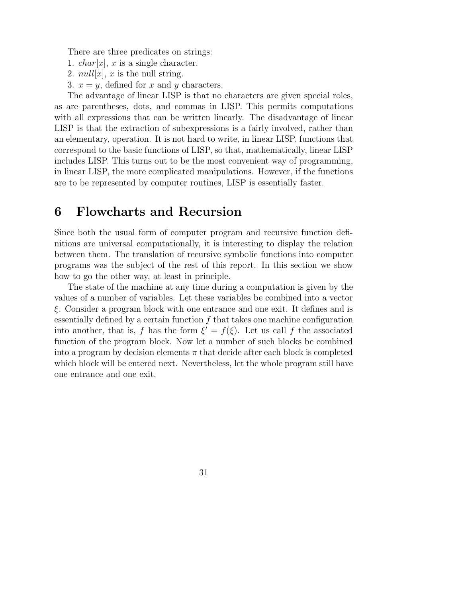There are three predicates on strings:

1.  $char[x]$ , x is a single character.

- 2.  $null[x]$ , x is the null string.
- 3.  $x = y$ , defined for x and y characters.

The advantage of linear LISP is that no characters are given special roles, as are parentheses, dots, and commas in LISP. This permits computations with all expressions that can be written linearly. The disadvantage of linear LISP is that the extraction of subexpressions is a fairly involved, rather than an elementary, operation. It is not hard to write, in linear LISP, functions that correspond to the basic functions of LISP, so that, mathematically, linear LISP includes LISP. This turns out to be the most convenient way of programming, in linear LISP, the more complicated manipulations. However, if the functions are to be represented by computer routines, LISP is essentially faster.

#### 6 Flowcharts and Recursion

Since both the usual form of computer program and recursive function definitions are universal computationally, it is interesting to display the relation between them. The translation of recursive symbolic functions into computer programs was the subject of the rest of this report. In this section we show how to go the other way, at least in principle.

The state of the machine at any time during a computation is given by the values of a number of variables. Let these variables be combined into a vector ξ. Consider a program block with one entrance and one exit. It defines and is essentially defined by a certain function  $f$  that takes one machine configuration into another, that is, f has the form  $\xi' = f(\xi)$ . Let us call f the associated function of the program block. Now let a number of such blocks be combined into a program by decision elements  $\pi$  that decide after each block is completed which block will be entered next. Nevertheless, let the whole program still have one entrance and one exit.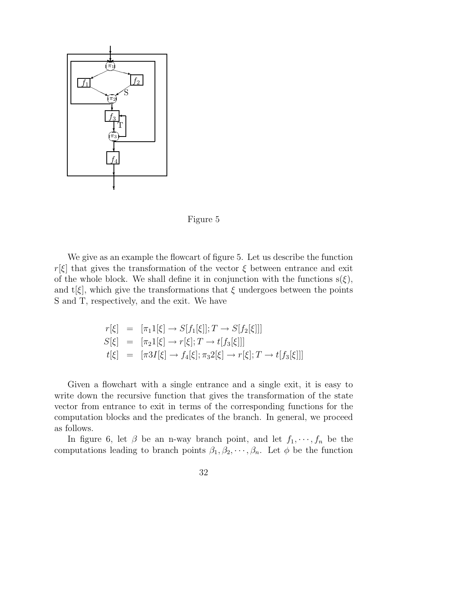

Figure 5

We give as an example the flowcart of figure 5. Let us describe the function  $r[\xi]$  that gives the transformation of the vector  $\xi$  between entrance and exit of the whole block. We shall define it in conjunction with the functions  $s(\xi)$ , and  $t[\xi]$ , which give the transformations that  $\xi$  undergoes between the points S and T, respectively, and the exit. We have

$$
r[\xi] = [\pi_1 1[\xi] \to S[f_1[\xi]]; T \to S[f_2[\xi]]]
$$
  
\n
$$
S[\xi] = [\pi_2 1[\xi] \to r[\xi]; T \to t[f_3[\xi]]]
$$
  
\n
$$
t[\xi] = [\pi 3I[\xi] \to f_4[\xi]; \pi_3 2[\xi] \to r[\xi]; T \to t[f_3[\xi]]]
$$

Given a flowchart with a single entrance and a single exit, it is easy to write down the recursive function that gives the transformation of the state vector from entrance to exit in terms of the corresponding functions for the computation blocks and the predicates of the branch. In general, we proceed as follows.

In figure 6, let  $\beta$  be an n-way branch point, and let  $f_1, \dots, f_n$  be the computations leading to branch points  $\beta_1, \beta_2, \dots, \beta_n$ . Let  $\phi$  be the function

$$
32\quad
$$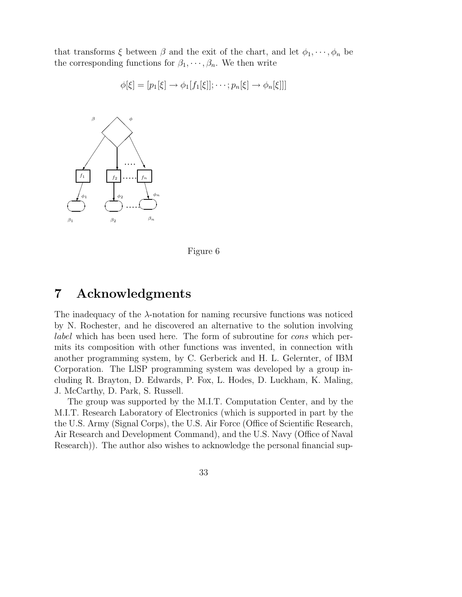that transforms  $\xi$  between  $\beta$  and the exit of the chart, and let  $\phi_1, \dots, \phi_n$  be the corresponding functions for  $\beta_1, \dots, \beta_n$ . We then write

 $\phi[\xi] = [p_1[\xi] \rightarrow \phi_1[f_1[\xi]]; \cdots; p_n[\xi] \rightarrow \phi_n[\xi]]$ 



Figure 6

#### 7 Acknowledgments

The inadequacy of the  $\lambda$ -notation for naming recursive functions was noticed by N. Rochester, and he discovered an alternative to the solution involving label which has been used here. The form of subroutine for cons which permits its composition with other functions was invented, in connection with another programming system, by C. Gerberick and H. L. Gelernter, of IBM Corporation. The LlSP programming system was developed by a group including R. Brayton, D. Edwards, P. Fox, L. Hodes, D. Luckham, K. Maling, J. McCarthy, D. Park, S. Russell.

The group was supported by the M.I.T. Computation Center, and by the M.I.T. Research Laboratory of Electronics (which is supported in part by the the U.S. Army (Signal Corps), the U.S. Air Force (Office of Scientific Research, Air Research and Development Command), and the U.S. Navy (Office of Naval Research)). The author also wishes to acknowledge the personal financial sup-